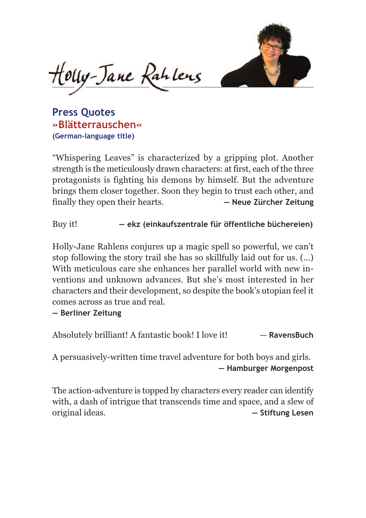

Couy-Jane Rahlens

**Press Quotes »Blätterrauschen« (German-language title)**

"Whispering Leaves" is characterized by a gripping plot. Another strength is the meticulously drawn characters: at first, each of the three protagonists is fighting his demons by himself. But the adventure brings them closer together. Soon they begin to trust each other, and finally they open their hearts. **— Neue Zürcher Zeitung**

Buy it! **— ekz (einkaufszentrale für öffentliche büchereien)**

Holly-Jane Rahlens conjures up a magic spell so powerful, we can't stop following the story trail she has so skillfully laid out for us. (...) With meticulous care she enhances her parallel world with new inventions and unknown advances. But she's most interested in her characters and their development, so despite the book's utopian feel it comes across as true and real.

**— Berliner Zeitung**

Absolutely brilliant! A fantastic book! I love it! — **RavensBuch**

A persuasively-written time travel adventure for both boys and girls. **— Hamburger Morgenpost**

The action-adventure is topped by characters every reader can identify with, a dash of intrigue that transcends time and space, and a slew of original ideas. **— Stiftung Lesen**